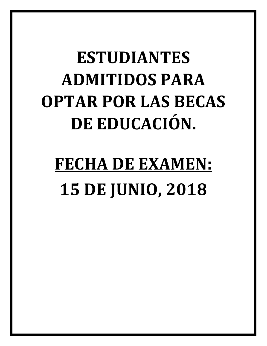## **ESTUDIANTES ADMITIDOS PARA OPTAR POR LAS BECAS DE EDUCACIÓN.**

## **FECHA DE EXAMEN: 15 DE JUNIO, 2018**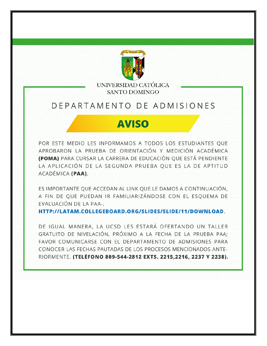

UNIVERSIDAD CATÓLICA **SANTO DOMINGO** 

## DEPARTAMENTO DE ADMISIONES

## **AVISO**

POR ESTE MEDIO LES INFORMAMOS A TODOS LOS ESTUDIANTES QUE APROBARON LA PRUEBA DE ORIENTACIÓN Y MEDICIÓN ACADÉMICA (POMA) PARA CURSAR LA CARRERA DE EDUCACIÓN QUE ESTÁ PENDIENTE LA APLICACIÓN DE LA SEGUNDA PRUEBA QUE ES LA DE APTITUD ACADÉMICA (PAA).

ES IMPORTANTE QUE ACCEDAN AL LINK QUE LE DAMOS A CONTINUACIÓN, A FIN DE QUE PUEDAN IR FAMILIARIZÁNDOSE CON EL ESQUEMA DE EVALUACIÓN DE LA PAA-.

HTTP://LATAM.COLLEGEBOARD.ORG/SLIDES/SLIDE/11/DOWNLOAD.

DE IGUAL MANERA, LA UCSD LES ESTARÁ OFERTANDO UN TALLER GRATUITO DE NIVELACIÓN, PRÓXIMO A LA FECHA DE LA PRUEBA PAA; FAVOR COMUNICARSE CON EL DEPARTAMENTO DE ADMISIONES PARA CONOCER LAS FECHAS PAUTADAS DE LOS PROCESOS MENCIONADOS ANTE-RIORMENTE. (TELÉFONO 809-544-2812 EXTS. 2215,2216, 2237 Y 2238).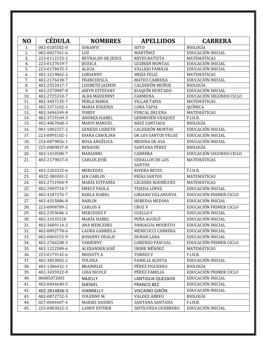| N <sub>O</sub>   | <b>CÉDULA</b> | <b>NOMBRES</b>           | <b>APELLIDOS</b>                 | <b>CARRERA</b>          |
|------------------|---------------|--------------------------|----------------------------------|-------------------------|
| 1.               | 002-0185502-0 | <b>SORANYI</b>           | SOTO                             | <b>BIOLOGÍA</b>         |
| $\overline{2}$ . | 082-0027361-6 | LUZ                      | MARTÍNEZ                         | EDUCACIÓN INICIAL       |
| 3.               | 223-0112153-3 | <b>REYNALDO DE JESUS</b> | <b>REYES BATISTA</b>             | MATEMÁTICAS             |
| 4.               | 223-0137019-7 | <b>JESSICA</b>           | <b>GUZMÁN MONTAS</b>             | EDUCACIÓN INICIAL       |
| 5.               | 223-0178435-5 | <b>ALICIA</b>            | <b>VALLEJO FAMILIA</b>           | EDUCACIÓN INICIAL       |
| 6.               | 402-1219862-2 | LORIANNY                 | MEJÍA FELIZ                      | MATEMÁTICAS             |
| 7.               | 402-2176430-7 | <b>FRANCHESCA</b>        | <b>MATEO CABRERA</b>             | EDUCACIÓN INICIAL       |
| 8.               | 402-2553417-7 | LISSBETH JAZMIN          | <b>CALDERÓN MUÑOZ</b>            | <b>BIOLOGÍA</b>         |
| 9.               | 402-2570987-8 | <b>AIRYN ESTEFANY</b>    | JOAQUÍN HURTADO                  | EDUCACIÓN INICIAL       |
| 10.              | 402-2725310-7 | <b>ALBA MADEINNY</b>     | CARMONA                          | EDUCACIÓN SEGUNDO CICLO |
| 11.              | 402-3047135-7 | PERLA MARIA              | <b>VILLAR TAPIA</b>              | MATEMÁTICAS             |
| 12.              | 402-3373102-1 | <b>MARIA EUGENIA</b>     | <b>LORA TAPIA</b>                | QUÍMICA                 |
| 13.              | 402-3696349-8 | YORDY                    | <b>FURCAL DECENA</b>             | MATEMÁTICAS             |
| 14.              | 402-3719169-3 | ANDREA ISABEL            | GERMOSÉN VÁSQUEZ                 | F.I.H.R.                |
| 15.              | 402-4067068-3 | <b>MARVI MANUEL</b>      | BÁEZ SANTIAGO                    | <b>BIOLOGÍA</b>         |
| 16.              | 001-1892357-2 | <b>GENESIS LISBETH</b>   | <b>CALDERÓN MONTAS</b>           | EDUCACIÓN INICIAL       |
| 17.              | 223-0095102-1 | DIANA CAROLINA           | DE LOS SANTOS VELOZ              | EDUCACIÓN INICIAL       |
| 18.              | 224-0079856-1 | ROSA ANGÉLICA            | MEDINA DE ASA                    | EDUCACIÓN INICIAL       |
| 19.              | 225-0089837-8 | <b>RENAURI</b>           | SANTANA PÉREZ                    | <b>BIOLOGÍA</b>         |
| 20.              | 402-1410580-7 | MARIANNI                 | <b>CABRERA</b>                   | EDUCACIÓN SEGUNDO CICLO |
| 21.              | 402-2179837-0 | CARLOS JOSÉ              | <b>CEBALLOS DE LOS</b><br>SANTOS | MATEMÁTICAS             |
| 22.              | 402-2203325-6 | <b>MERCEDES</b>          | <b>RIVERA REYES</b>              | F.I.H.R.                |
| 23.              | 4022-380301-2 | <b>JAN CARLOS</b>        | <b>FRÍAS SANTOS</b>              | MATEMÁTICAS             |
| 24.              | 402-2731904-9 | MARÍA ESTFANÍA           | <b>CÁCERES RODRÍGUEZ</b>         | MATEMÁTICAS             |
| 25.              | 402-2909724-7 | <b>EMELY PAOLA</b>       | TEJEDA LÓPEZ                     | EDUCACIÓN INICIAL       |
| 26.              | 402-4187276-7 | <b>KARLA ISABEL</b>      | LIRIANO VILLANUEVA               | EDUCACIÓN PRIMER CICLO  |
| 27.              | 402-4315886-8 | <b>HARLIN</b>            | HEREDIA MEDINA                   | EDUCACIÓN INICIAL       |
| 28.              | 223-0098789-2 | <b>CARLOS A</b>          | <b>CRUZV</b>                     | EDUCACIÓN PRIMER CICLO  |
| 29.              | 402-2359686-3 | <b>MERCEDESP</b>         | <b>CUELLOF</b>                   | EDUCACIÓN INICIAL       |
| 30.              | 402-33335518  | MARÍA ISABEL             | PEÑA AGUILÓ                      | EDUCACIÓN INICIAL       |
| 31.              | 402-3609114-2 | <b>ANA MERCEDES</b>      | PANIAGUA MODESTO                 | EDUCACIÓN INICIAL       |
| 32.              | 402-0892778-6 | LAURA GABRIELA           | MENICUCCI CABRERA                | EDUCACIÓN INICIAL       |
| 33.              | 402-0069153-9 | JOHANNY ODALIS           | <b>DURAN LARA</b>                | EDUCACIÓN INICIAL       |
| 34.              | 402-2766208-3 | YARIENNY                 | LORENZO PASCUAL                  | EDUCACIÓN PRIMER CICLO  |
| 35.              | 402-1222589-6 | ALEXANDER JOSÉ           | URIBE MÉNDEZ                     | MATEMÁTICAS             |
| 36.              | 223-0179142-6 | MIOSOTY A                | <b>TORRES V</b>                  | F.I.H.R.                |
| 37.              | 402-3853002-2 | YULISSA                  | <b>FAMILIA ACOSTA</b>            | EDUCACIÓN INICIAL       |
| 38.              | 402-1386432-1 | <b>BRAINELIS</b>         | PÉREZ FIGUEREO                   | <b>BIOLOGÍA</b>         |
| 39.              | 402-3435922-8 | LIHA NICOLE              | PÉREZ FAMILIA                    | EDUCACIÓN PRIMER CICLO  |
| 40.              |               |                          |                                  | EDUCACIÓN INICIAL       |
|                  | 00005072001   | <b>NAJELLY</b>           | LANTIGUA QUEZADA                 |                         |
| 41.              | 402-0044640-5 | <b>SHENIEL</b>           | <b>FRANCO BEZ</b>                | EDUCACIÓN INICIAL       |
| 42.              | 402-2814836-3 | VIANNELLY                | VISCAINO GIRÓN                   | EDUCACIÓN INICIAL       |
| 43.              | 402-0872752-5 | YOLENNY M.               | <b>VALDEZ ABREU</b>              | <b>BIOLOGÍA</b>         |
| 44.              | 027-0044407-4 | <b>MARXIS DASIRIS</b>    | SANTANA SANTANA                  | F.I.H.R.                |
| 45.              | 225-0083022-3 | <b>LANDY ESTHER</b>      | SEPÚLVEDA GUERRERO               | EDUCACIÓN INICIAL       |